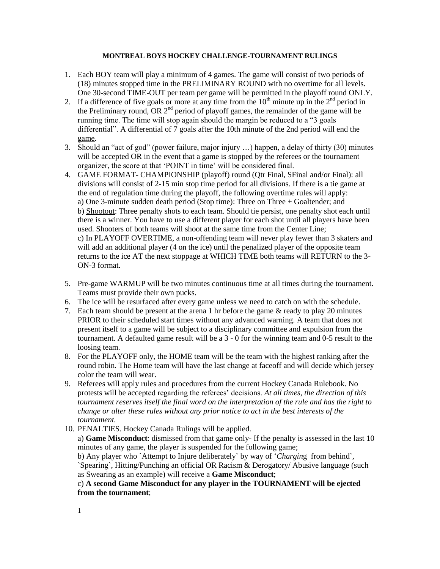## **MONTREAL BOYS HOCKEY CHALLENGE-TOURNAMENT RULINGS**

- 1. Each BOY team will play a minimum of 4 games. The game will consist of two periods of (18) minutes stopped time in the PRELIMINARY ROUND with no overtime for all levels. One 30-second TIME-OUT per team per game will be permitted in the playoff round ONLY.
- 2. If a difference of five goals or more at any time from the  $10<sup>th</sup>$  minute up in the  $2<sup>nd</sup>$  period in the Preliminary round, OR  $2<sup>nd</sup>$  period of playoff games, the remainder of the game will be running time. The time will stop again should the margin be reduced to a "3 goals differential". A differential of 7 goals after the 10th minute of the 2nd period will end the game.
- 3. Should an "act of god" (power failure, major injury …) happen, a delay of thirty (30) minutes will be accepted OR in the event that a game is stopped by the referees or the tournament organizer, the score at that 'POINT in time' will be considered final.
- 4. GAME FORMAT- CHAMPIONSHIP (playoff) round (Qtr Final, SFinal and/or Final): all divisions will consist of 2-15 min stop time period for all divisions. If there is a tie game at the end of regulation time during the playoff, the following overtime rules will apply: a) One 3-minute sudden death period (Stop time): Three on Three + Goaltender; and b) Shootout: Three penalty shots to each team. Should tie persist, one penalty shot each until there is a winner. You have to use a different player for each shot until all players have been used. Shooters of both teams will shoot at the same time from the Center Line; c) In PLAYOFF OVERTIME, a non-offending team will never play fewer than 3 skaters and will add an additional player (4 on the ice) until the penalized player of the opposite team returns to the ice AT the next stoppage at WHICH TIME both teams will RETURN to the 3- ON-3 format.
- 5. Pre-game WARMUP will be two minutes continuous time at all times during the tournament. Teams must provide their own pucks.
- 6. The ice will be resurfaced after every game unless we need to catch on with the schedule.
- 7. Each team should be present at the arena 1 hr before the game & ready to play 20 minutes PRIOR to their scheduled start times without any advanced warning. A team that does not present itself to a game will be subject to a disciplinary committee and expulsion from the tournament. A defaulted game result will be a 3 - 0 for the winning team and 0-5 result to the loosing team.
- 8. For the PLAYOFF only, the HOME team will be the team with the highest ranking after the round robin. The Home team will have the last change at faceoff and will decide which jersey color the team will wear.
- 9. Referees will apply rules and procedures from the current Hockey Canada Rulebook. No protests will be accepted regarding the referees' decisions. *At all times, the direction of this tournament reserves itself the final word on the interpretation of the rule and has the right to change or alter these rules without any prior notice to act in the best interests of the tournament.*
- 10. PENALTIES. Hockey Canada Rulings will be applied.

a) **Game Misconduct**: dismissed from that game only- If the penalty is assessed in the last 10 minutes of any game, the player is suspended for the following game;

b) Any player who `Attempt to Injure deliberately` by way of '*[Chargin](http://en.wikipedia.org/wiki/Charging_(ice_hockey))*g from behind`, `Spearing`, Hitting/Punching an official OR Racism & Derogatory/ Abusive language (such as Swearing as an example) will receive a **Game Misconduct**;

## c) **A second Game Misconduct for any player in the TOURNAMENT will be ejected from the tournament**;